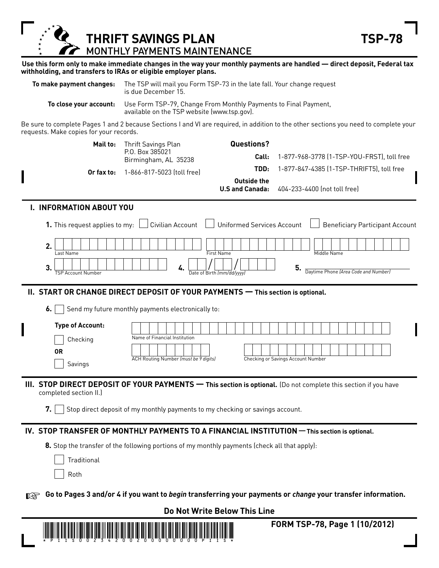**THRIFT SAVINGS PLAN TSP-78** MONTHLY PAYMENTS MAINTENANCE

**Use this form only to make immediate changes in the way your monthly payments are handled — direct deposit, Federal tax withholding, and transfers to IRAs or eligible employer plans.** 

|  | To make payment changes: The TSP will mail you Form TSP-73 in the late fall. Your change request<br>is due December 15. |
|--|-------------------------------------------------------------------------------------------------------------------------|
|  |                                                                                                                         |

**To close your account:** Use Form TSP-79, Change From Monthly Payments to Final Payment, available on the TSP website (www.tsp.gov).

Be sure to complete Pages 1 and 2 because Sections I and VI are required, in addition to the other sections you need to complete your requests. Make copies for your records.

|           | Mail to:<br>Or fax to:                                                                                           | Thrift Savings Plan<br>P.O. Box 385021<br>Birmingham, AL 35238<br>1-866-817-5023 (toll free)                                                                                                                           | Questions?<br>Call:<br>TDD:<br>Outside the<br><b>U.S and Canada:</b>                           | 1-877-968-3778 (1-TSP-YOU-FRST), toll free<br>1-877-847-4385 (1-TSP-THRIFT5), toll free<br>404-233-4400 (not toll free)                                                                                         |
|-----------|------------------------------------------------------------------------------------------------------------------|------------------------------------------------------------------------------------------------------------------------------------------------------------------------------------------------------------------------|------------------------------------------------------------------------------------------------|-----------------------------------------------------------------------------------------------------------------------------------------------------------------------------------------------------------------|
|           | I. INFORMATION ABOUT YOU<br>1. This request applies to my:<br>2.<br>Last Name<br>3.<br><b>TSP Account Number</b> | 4.                                                                                                                                                                                                                     | Civilian Account   Uniformed Services Account<br><b>First Name</b><br>Date of Birth (mm/dd/ww) | <b>Beneficiary Participant Account</b><br>Middle Name<br>5.<br>Daytime Phone (Area Code and Number)                                                                                                             |
|           | 6.<br><b>Type of Account:</b><br>Checking<br><b>OR</b><br>Savings                                                | II. START OR CHANGE DIRECT DEPOSIT OF YOUR PAYMENTS - This section is optional.<br>Send my future monthly payments electronically to:<br>Name of Financial Institution<br><b>ACH Routing Number (must be 9 digits)</b> |                                                                                                | Checking or Savings Account Number                                                                                                                                                                              |
|           | completed section II.)<br>7.                                                                                     | Stop direct deposit of my monthly payments to my checking or savings account.                                                                                                                                          |                                                                                                | III. STOP DIRECT DEPOSIT OF YOUR PAYMENTS - This section is optional. (Do not complete this section if you have<br>IV. STOP TRANSFER OF MONTHLY PAYMENTS TO A FINANCIAL INSTITUTION - This section is optional. |
| <b>KA</b> | Traditional<br>Roth                                                                                              | 8. Stop the transfer of the following portions of my monthly payments (check all that apply):                                                                                                                          |                                                                                                | Go to Pages 3 and/or 4 if you want to begin transferring your payments or change your transfer information.                                                                                                     |

**Do Not Write Below This Line**



 **FORM TSP-78, Page 1 (10/2012)**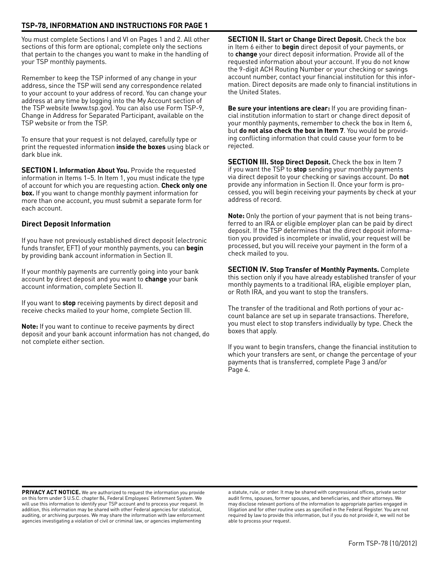## **TSP-78, INFORMATION AND INSTRUcTIONS FOR PAGe 1**

You must complete Sections I and VI on Pages 1 and 2. All other sections of this form are optional; complete only the sections that pertain to the changes you want to make in the handling of your TSP monthly payments.

Remember to keep the TSP informed of any change in your address, since the TSP will send any correspondence related to your account to your address of record. You can change your address at any time by logging into the My Account section of the TSP website (www.tsp.gov). You can also use Form TSP-9, Change in Address for Separated Participant, available on the TSP website or from the TSP.

To ensure that your request is not delayed, carefully type or print the requested information **inside the boxes** using black or dark blue ink.

**SecTION I. Information About You.** Provide the requested information in Items 1–5. In Item 1, you must indicate the type of account for which you are requesting action. **check only one box.** If you want to change monthly payment information for more than one account, you must submit a separate form for each account.

## **Direct Deposit Information**

If you have not previously established direct deposit (electronic funds transfer, EFT) of your monthly payments, you can **begin** by providing bank account information in Section II.

If your monthly payments are currently going into your bank account by direct deposit and you want to **change** your bank account information, complete Section II.

If you want to **stop** receiving payments by direct deposit and receive checks mailed to your home, complete Section III.

**Note:** If you want to continue to receive payments by direct deposit and your bank account information has not changed, do not complete either section.

**SecTION II. Start or change Direct Deposit.** Check the box in Item 6 either to **begin** direct deposit of your payments, or to **change** your direct deposit information. Provide all of the requested information about your account. If you do not know the 9-digit ACH Routing Number or your checking or savings account number, contact your financial institution for this information. Direct deposits are made only to financial institutions in the United States.

**Be sure your intentions are clear:** If you are providing financial institution information to start or change direct deposit of your monthly payments, remember to check the box in Item 6, but **do not also check the box in Item 7**. You would be providing conflicting information that could cause your form to be rejected.

**SECTION III. Stop Direct Deposit.** Check the box in Item 7 if you want the TSP to **stop** sending your monthly payments via direct deposit to your checking or savings account. Do **not** provide any information in Section II. Once your form is processed, you will begin receiving your payments by check at your address of record.

**Note:** Only the portion of your payment that is not being transferred to an IRA or eligible employer plan can be paid by direct deposit. If the TSP determines that the direct deposit information you provided is incomplete or invalid, your request will be processed, but you will receive your payment in the form of a check mailed to you.

**SecTION IV. Stop Transfer of Monthly Payments.** Complete this section only if you have already established transfer of your monthly payments to a traditional IRA, eligible employer plan, or Roth IRA, and you want to stop the transfers.

The transfer of the traditional and Roth portions of your account balance are set up in separate transactions. Therefore, you must elect to stop transfers individually by type. Check the boxes that apply.

If you want to begin transfers, change the financial institution to which your transfers are sent, or change the percentage of your payments that is transferred, complete Page 3 and/or Page 4.

**PRIVACY ACT NOTICE.** We are authorized to request the information you provide on this form under 5 U.S.C. chapter 84, Federal Employees' Retirement System. We will use this information to identify your TSP account and to process your request. In addition, this information may be shared with other Federal agencies for statistical, auditing, or archiving purposes. We may share the information with law enforcement agencies investigating a violation of civil or criminal law, or agencies implementing

a statute, rule, or order. It may be shared with congressional offices, private sector audit firms, spouses, former spouses, and beneficiaries, and their attorneys. We may disclose relevant portions of the information to appropriate parties engaged in litigation and for other routine uses as specified in the Federal Register. You are not required by law to provide this information, but if you do not provide it, we will not be able to process your request.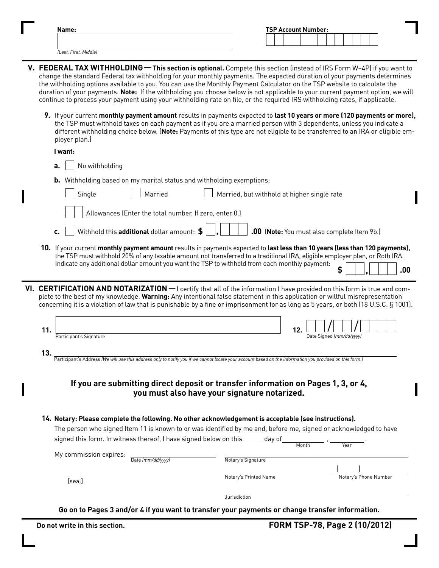| Name:                 | <b>TSP Account Number:</b> |
|-----------------------|----------------------------|
|                       |                            |
| (Last, First, Middle) |                            |

- **V. FeDeRAL TAx WITHHOLDING This section is optional.** Compete this section (instead of IRS Form W–4P) if you want to change the standard Federal tax withholding for your monthly payments. The expected duration of your payments determines the withholding options available to you. You can use the Monthly Payment Calculator on the TSP website to calculate the duration of your payments. **Note:** If the withholding you choose below is not applicable to your current payment option, we will continue to process your payment using your withholding rate on file, or the required IRS withholding rates, if applicable.
	- **9.** If your current **monthly payment amount** results in payments expected to **last 10 years or more (120 payments or more),** the TSP must withhold taxes on each payment as if you are a married person with 3 dependents, unless you indicate a different withholding choice below. (**Note:** Payments of this type are not eligible to be transferred to an IRA or eligible employer plan.)

| I want:                                                                                                                                                              |                                                                                                                                                                                                                                                                                                                                                                                                  |
|----------------------------------------------------------------------------------------------------------------------------------------------------------------------|--------------------------------------------------------------------------------------------------------------------------------------------------------------------------------------------------------------------------------------------------------------------------------------------------------------------------------------------------------------------------------------------------|
| No withholding<br>a.                                                                                                                                                 |                                                                                                                                                                                                                                                                                                                                                                                                  |
| <b>b.</b> Withholding based on my marital status and withholding exemptions:                                                                                         |                                                                                                                                                                                                                                                                                                                                                                                                  |
| Single<br>Married                                                                                                                                                    | Married, but withhold at higher single rate                                                                                                                                                                                                                                                                                                                                                      |
| Allowances (Enter the total number. If zero, enter 0.)                                                                                                               |                                                                                                                                                                                                                                                                                                                                                                                                  |
| Withhold this additional dollar amount: \$<br>c.                                                                                                                     | .00 (Note: You must also complete Item 9b.)                                                                                                                                                                                                                                                                                                                                                      |
| Indicate any additional dollar amount you want the TSP to withhold from each monthly payment:                                                                        | 10. If your current monthly payment amount results in payments expected to last less than 10 years (less than 120 payments),<br>the TSP must withhold 20% of any taxable amount not transferred to a traditional IRA, eligible employer plan, or Roth IRA.<br>.00                                                                                                                                |
|                                                                                                                                                                      | VI. CERTIFICATION AND NOTARIZATION - I certify that all of the information I have provided on this form is true and com-<br>plete to the best of my knowledge. Warning: Any intentional false statement in this application or willful misrepresentation<br>concerning it is a violation of law that is punishable by a fine or imprisonment for as long as 5 years, or both (18 U.S.C. § 1001). |
| 11.<br>Participant's Signature                                                                                                                                       | 12.<br>Date Signed (mm/dd/yyyy)                                                                                                                                                                                                                                                                                                                                                                  |
| 13.<br>-<br>Participant's Address (We will use this address only to notify you if we cannot locate your account based on the information you provided on this form.) |                                                                                                                                                                                                                                                                                                                                                                                                  |
|                                                                                                                                                                      | If you are submitting direct deposit or transfer information on Pages 1, 3, or 4,<br>you must also have your signature notarized.                                                                                                                                                                                                                                                                |
| 14. Notary: Please complete the following. No other acknowledgement is acceptable (see instructions).                                                                |                                                                                                                                                                                                                                                                                                                                                                                                  |
| signed this form. In witness thereof, I have signed below on this _____                                                                                              | The person who signed Item 11 is known to or was identified by me and, before me, signed or acknowledged to have<br>day of<br>Month                                                                                                                                                                                                                                                              |
| My commission expires:<br>Date (mm/dd/yyyy)                                                                                                                          | Notary's Signature                                                                                                                                                                                                                                                                                                                                                                               |
| [seal]                                                                                                                                                               | Notary's Printed Name<br>Notary's Phone Number                                                                                                                                                                                                                                                                                                                                                   |
|                                                                                                                                                                      | Jurisdiction                                                                                                                                                                                                                                                                                                                                                                                     |

**Go on to Pages 3 and/or 4 if you want to transfer your payments or change transfer information.**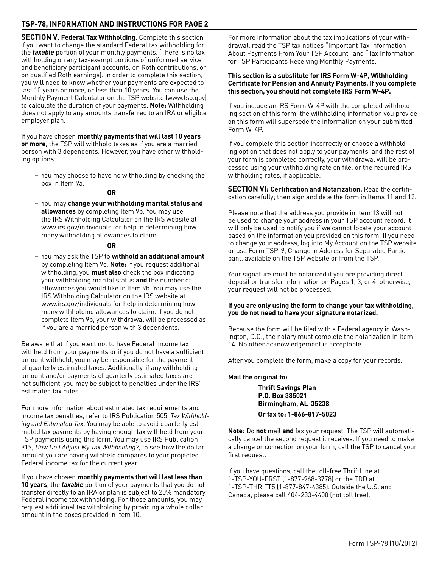## **TSP-78, INFORMATION AND INSTRUcTIONS FOR PAGe 2**

**SecTION V. Federal Tax Withholding.** Complete this section if you want to change the standard Federal tax withholding for the *taxable* portion of your monthly payments. (There is no tax withholding on any tax-exempt portions of uniformed service and beneficiary participant accounts, on Roth contributions, or on qualified Roth earnings). In order to complete this section, you will need to know whether your payments are expected to last 10 years or more, or less than 10 years. You can use the Monthly Payment Calculator on the TSP website (www.tsp.gov) to calculate the duration of your payments. **Note:** Withholding does not apply to any amounts transferred to an IRA or eligible employer plan.

If you have chosen **monthly payments that will last 10 years or more**, the TSP will withhold taxes as if you are a married person with 3 dependents. However, you have other withholding options:

– You may choose to have no withholding by checking the box in Item 9a.

#### *OR* **OR**

– You may **change your withholding marital status and allowances** by completing Item 9b. You may use the IRS Withholding Calculator on the IRS website at www.irs.gov/individuals for help in determining how many withholding allowances to claim.

### *OR* **OR**

– You may ask the TSP to **withhold an additional amount** by completing Item 9c. **Note:** If you request additional withholding, you **must also** check the box indicating your withholding marital status **and** the number of allowances you would like in Item 9b. You may use the IRS Withholding Calculator on the IRS website at www.irs.gov/individuals for help in determining how many withholding allowances to claim. If you do not complete Item 9b, your withdrawal will be processed as if you are a married person with 3 dependents.

Be aware that if you elect not to have Federal income tax withheld from your payments or if you do not have a sufficient amount withheld, you may be responsible for the payment of quarterly estimated taxes. Additionally, if any withholding amount and/or payments of quarterly estimated taxes are not sufficient, you may be subject to penalties under the IRS' estimated tax rules.

For more information about estimated tax requirements and income tax penalties, refer to IRS Publication 505, *Tax Withholding and Estimated Tax*. You may be able to avoid quarterly estimated tax payments by having enough tax withheld from your TSP payments using this form. You may use IRS Publication 919, *How Do I Adjust My Tax Withholding?*, to see how the dollar amount you are having withheld compares to your projected Federal income tax for the current year.

If you have chosen **monthly payments that will last less than 10 years**, the *taxable* portion of your payments that you do not transfer directly to an IRA or plan is subject to 20% mandatory Federal income tax withholding. For those amounts, you may request additional tax withholding by providing a whole dollar amount in the boxes provided in Item 10.

For more information about the tax implications of your withdrawal, read the TSP tax notices "Important Tax Information About Payments From Your TSP Account" and "Tax Information for TSP Participants Receiving Monthly Payments."

### **This section is a substitute for IRS Form W-4P, Withholding certiicate for Pension and Annuity Payments. If you complete this section, you should not complete IRS Form W-4P.**

If you include an IRS Form W-4P with the completed withholding section of this form, the withholding information you provide on this form will supersede the information on your submitted Form W-4P.

If you complete this section incorrectly or choose a withholding option that does not apply to your payments, and the rest of your form is completed correctly, your withdrawal will be processed using your withholding rate on file, or the required IRS withholding rates, if applicable.

**SecTION VI: certiication and Notarization.** Read the certification carefully; then sign and date the form in Items 11 and 12.

Please note that the address you provide in Item 13 will not be used to change your address in your TSP account record. It will only be used to notify you if we cannot locate your account based on the information you provided on this form. If you need to change your address, log into My Account on the TSP website or use Form TSP-9, Change in Address for Separated Participant, available on the TSP website or from the TSP.

Your signature must be notarized if you are providing direct deposit or transfer information on Pages 1, 3, or 4; otherwise, your request will not be processed.

### **If you are only using the form to change your tax withholding, you do not need to have your signature notarized.**

Because the form will be filed with a Federal agency in Washington, D.C., the notary must complete the notarization in Item 14. No other acknowledgement is acceptable.

After you complete the form, make a copy for your records.

## **Mail the original to:**

**Thrift Savings Plan P.O. Box 385021 Birmingham, AL 35238 Or fax to: 1-866-817-5023**

**Note:** Do **not** mail **and** fax your request. The TSP will automatically cancel the second request it receives. If you need to make a change or correction on your form, call the TSP to cancel your first request.

If you have questions, call the toll-free ThriftLine at 1-TSP-YOU-FRST (1-877-968-3778) or the TDD at 1-TSP-THRIFT5 (1-877-847-4385). Outside the U.S. and Canada, please call 404-233-4400 (not toll free).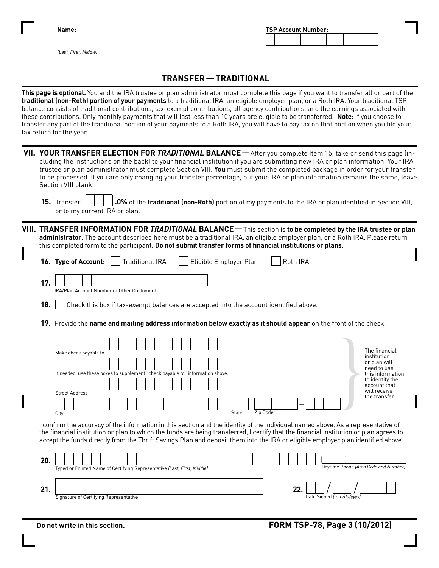|  | ч. |  |  |
|--|----|--|--|
|  |    |  |  |

| <b>TSP Account Number:</b> |  |  |  |  |  |  |  |  |  |  |  |  |
|----------------------------|--|--|--|--|--|--|--|--|--|--|--|--|
|                            |  |  |  |  |  |  |  |  |  |  |  |  |

*(Last, First, Middle)*

# **TRANSFeR — TRADITIONAL**

**This page is optional.** You and the IRA trustee or plan administrator must complete this page if you want to transfer all or part of the **traditional (non-Roth) portion of your payments** to a traditional IRA, an eligible employer plan, or a Roth IRA. Your traditional TSP balance consists of traditional contributions, tax-exempt contributions, all agency contributions, and the earnings associated with these contributions. Only monthly payments that will last less than 10 years are eligible to be transferred. **Note:** If you choose to transfer any part of the traditional portion of your payments to a Roth IRA, you will have to pay tax on that portion when you file your tax return for the year.

| VII. YOUR TRANSFER ELECTION FOR TRADITIONAL BALANCE — After you complete Item 15, take or send this page (in-<br>cluding the instructions on the back) to your financial institution if you are submitting new IRA or plan information. Your IRA<br>trustee or plan administrator must complete Section VIII. You must submit the completed package in order for your transfer<br>to be processed. If you are only changing your transfer percentage, but your IRA or plan information remains the same, leave<br>Section VIII blank. |
|---------------------------------------------------------------------------------------------------------------------------------------------------------------------------------------------------------------------------------------------------------------------------------------------------------------------------------------------------------------------------------------------------------------------------------------------------------------------------------------------------------------------------------------|
| 15. Transfer<br>.0% of the traditional (non-Roth) portion of my payments to the IRA or plan identified in Section VIII,<br>or to my current IRA or plan.                                                                                                                                                                                                                                                                                                                                                                              |
| VIII. TRANSFER INFORMATION FOR TRADITIONAL BALANCE - This section is to be completed by the IRA trustee or plan<br>administrator. The account described here must be a traditional IRA, an eligible employer plan, or a Roth IRA. Please return<br>this completed form to the participant. Do not submit transfer forms of financial institutions or plans.                                                                                                                                                                           |
| <b>Traditional IRA</b><br>Roth IRA<br>16. Type of Account:<br>Eligible Employer Plan                                                                                                                                                                                                                                                                                                                                                                                                                                                  |
| 17.<br>IRA/Plan Account Number or Other Customer ID                                                                                                                                                                                                                                                                                                                                                                                                                                                                                   |
| 18.<br>Check this box if tax-exempt balances are accepted into the account identified above.                                                                                                                                                                                                                                                                                                                                                                                                                                          |
| 19. Provide the name and mailing address information below exactly as it should appear on the front of the check.                                                                                                                                                                                                                                                                                                                                                                                                                     |
| The financial<br>Make check payable to<br>institution<br>or plan will<br>need to use<br>If needed, use these boxes to supplement "check payable to" information above.<br>this information<br>to identify the                                                                                                                                                                                                                                                                                                                         |
| account that<br>will receive<br><b>Street Address</b><br>the transfer.<br>Zip Code<br>State<br>$\overline{City}$                                                                                                                                                                                                                                                                                                                                                                                                                      |
| I confirm the accuracy of the information in this section and the identity of the individual named above. As a representative of<br>the financial institution or plan to which the funds are being transferred, I certify that the financial institution or plan agrees to<br>accept the funds directly from the Thrift Savings Plan and deposit them into the IRA or eligible employer plan identified above.                                                                                                                        |
| 20.<br>Daytime Phone (Area Code and Number)<br>Typed or Printed Name of Certifying Representative (Last, First, Middle)                                                                                                                                                                                                                                                                                                                                                                                                               |
| 21.<br>22.<br>Signature of Certifying Representative<br>Date Signed (mm/dd/yyyy)                                                                                                                                                                                                                                                                                                                                                                                                                                                      |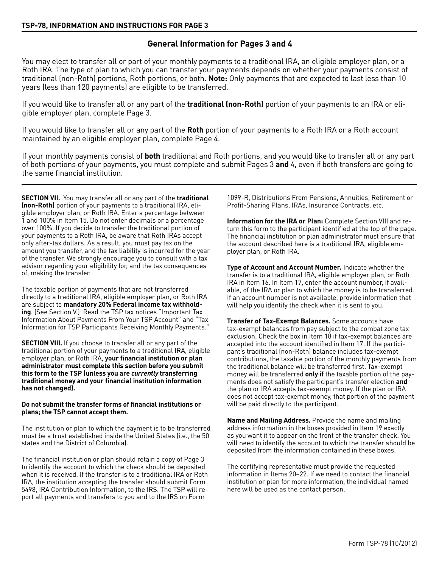## **General Information for Pages 3 and 4**

You may elect to transfer all or part of your monthly payments to a traditional IRA, an eligible employer plan, or a Roth IRA. The type of plan to which you can transfer your payments depends on whether your payments consist of traditional (non-Roth) portions, Roth portions, or both. **Note:** Only payments that are expected to last less than 10 years (less than 120 payments) are eligible to be transferred.

If you would like to transfer all or any part of the **traditional (non-Roth)** portion of your payments to an IRA or eligible employer plan, complete Page 3.

If you would like to transfer all or any part of the **Roth** portion of your payments to a Roth IRA or a Roth account maintained by an eligible employer plan, complete Page 4.

If your monthly payments consist of **both** traditional and Roth portions, and you would like to transfer all or any part of both portions of your payments, you must complete and submit Pages 3 **and** 4, even if both transfers are going to the same financial institution.

**SecTION VII.** You may transfer all or any part of the **traditional (non-Roth)** portion of your payments to a traditional IRA, eligible employer plan, or Roth IRA. Enter a percentage between 1 and 100% in Item 15. Do not enter decimals or a percentage over 100%. If you decide to transfer the traditional portion of your payments to a Roth IRA, be aware that Roth IRAs accept only after-tax dollars. As a result, you must pay tax on the amount you transfer, and the tax liability is incurred for the year of the transfer. We strongly encourage you to consult with a tax advisor regarding your eligibility for, and the tax consequences of, making the transfer.

The taxable portion of payments that are not transferred directly to a traditional IRA, eligible employer plan, or Roth IRA are subject to **mandatory 20% Federal income tax withholding**. (See Section V.) Read the TSP tax notices "Important Tax Information About Payments From Your TSP Account" and "Tax Information for TSP Participants Receiving Monthly Payments."

**SECTION VIII.** If you choose to transfer all or any part of the traditional portion of your payments to a traditional IRA, eligible employer plan, or Roth IRA, your financial institution or plan **administrator must complete this section before you submit this form to the TSP (unless you are** *currently* **transferring traditional money and your inancial institution information has not changed).**

### **Do not submit the transfer forms of inancial institutions or plans; the TSP cannot accept them.**

The institution or plan to which the payment is to be transferred must be a trust established inside the United States (i.e., the 50 states and the District of Columbia).

The financial institution or plan should retain a copy of Page 3 to identify the account to which the check should be deposited when it is received. If the transfer is to a traditional IRA or Roth IRA, the institution accepting the transfer should submit Form 5498, IRA Contribution Information, to the IRS. The TSP will report all payments and transfers to you and to the IRS on Form

1099-R, Distributions From Pensions, Annuities, Retirement or Profit-Sharing Plans, IRAs, Insurance Contracts, etc.

**Information for the IRA or Plan:** Complete Section VIII and return this form to the participant identified at the top of the page. The financial institution or plan administrator must ensure that the account described here is a traditional IRA, eligible employer plan, or Roth IRA.

**Type of Account and Account Number.** Indicate whether the transfer is to a traditional IRA, eligible employer plan, or Roth IRA in Item 16. In Item 17, enter the account number, if available, of the IRA or plan to which the money is to be transferred. If an account number is not available, provide information that will help you identify the check when it is sent to you.

**Transfer of Tax-Exempt Balances.** Some accounts have tax-exempt balances from pay subject to the combat zone tax exclusion. Check the box in Item 18 if tax-exempt balances are accepted into the account identified in Item 17. If the participant's traditional (non-Roth) balance includes tax-exempt contributions, the taxable portion of the monthly payments from the traditional balance will be transferred first. Tax-exempt money will be transferred **only if** the taxable portion of the payments does not satisfy the participant's transfer election **and** the plan or IRA accepts tax-exempt money. If the plan or IRA does not accept tax-exempt money, that portion of the payment will be paid directly to the participant.

**Name and Mailing Address.** Provide the name and mailing address information in the boxes provided in Item 19 exactly as you want it to appear on the front of the transfer check. You will need to identify the account to which the transfer should be deposited from the information contained in these boxes.

The certifying representative must provide the requested information in Items 20–22. If we need to contact the financial institution or plan for more information, the individual named here will be used as the contact person.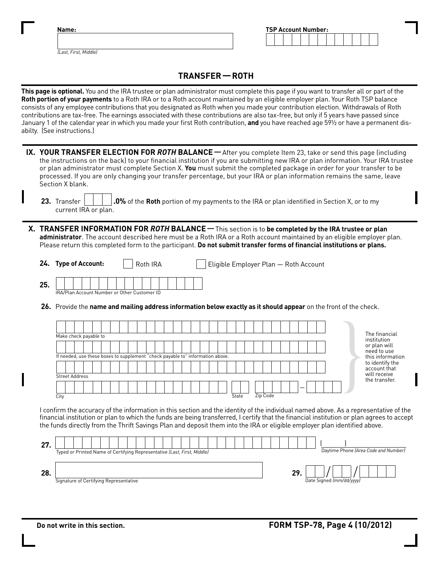| Name:                                                                                                                                                                                                                                                                                                                                                                                                                                                                                                                                                                                                                                                                                                                            |  | <b>TSP Account Number:</b> |  |  |  |  |
|----------------------------------------------------------------------------------------------------------------------------------------------------------------------------------------------------------------------------------------------------------------------------------------------------------------------------------------------------------------------------------------------------------------------------------------------------------------------------------------------------------------------------------------------------------------------------------------------------------------------------------------------------------------------------------------------------------------------------------|--|----------------------------|--|--|--|--|
| (Last, First, Middle)                                                                                                                                                                                                                                                                                                                                                                                                                                                                                                                                                                                                                                                                                                            |  |                            |  |  |  |  |
| <b>TRANSFER-ROTH</b>                                                                                                                                                                                                                                                                                                                                                                                                                                                                                                                                                                                                                                                                                                             |  |                            |  |  |  |  |
| This page is optional. You and the IRA trustee or plan administrator must complete this page if you want to transfer all or part of the<br>Roth portion of your payments to a Roth IRA or to a Roth account maintained by an eligible employer plan. Your Roth TSP balance<br>consists of any employee contributions that you designated as Roth when you made your contribution election. Withdrawals of Roth<br>contributions are tax-free. The earnings associated with these contributions are also tax-free, but only if 5 years have passed since<br>January 1 of the calendar year in which you made your first Roth contribution, and you have reached age 591/2 or have a permanent dis-<br>abilty. (See instructions.) |  |                            |  |  |  |  |
| IX. YOUR TRANSFER ELECTION FOR ROTH BALANCE - After you complete Item 23, take or send this page (including<br>the instructions on the back) to your financial institution if you are submitting new IRA or plan information. Your IRA trustee<br>or plan administrator must complete Section X. You must submit the completed package in order for your transfer to be                                                                                                                                                                                                                                                                                                                                                          |  |                            |  |  |  |  |

|                      |  | 23. Transfer $\begin{vmatrix} \cdot & \cdot & \cdot \\ \cdot & \cdot & \cdot \end{vmatrix}$ .0% of the Roth portion of my payments to the IRA or plan identified in Section X, or to my |
|----------------------|--|-----------------------------------------------------------------------------------------------------------------------------------------------------------------------------------------|
| current IRA or plan. |  |                                                                                                                                                                                         |

processed. If you are only changing your transfer percentage, but your IRA or plan information remains the same, leave

 **x. TRANSFeR INFORMATION FOR** *ROTH* **BALANce**—This section is to **be completed by the IRA trustee or plan administrator**. The account described here must be a Roth IRA or a Roth account maintained by an eligible employer plan. Please return this completed form to the participant. **Do not submit transfer forms of inancial institutions or plans.**

|     | 24. Type of Account:                                | Roth IRA | Eligible Employer Plan - Roth Account |
|-----|-----------------------------------------------------|----------|---------------------------------------|
| 25. | <b>IRA/Plan Account Number or Other Customer ID</b> |          |                                       |

 **26.** Provide the **name and mailing address information below exactly as it should appear** on the front of the check.

| Make check payable to                                                          | The financial<br>institution                    |  |
|--------------------------------------------------------------------------------|-------------------------------------------------|--|
| If needed, use these boxes to supplement "check payable to" information above. | or plan will<br>need to use<br>this information |  |
|                                                                                | to identify the<br>account that<br>will receive |  |
| <b>Street Address</b>                                                          | the transfer.                                   |  |
| City                                                                           | _<br>Zip Code<br><b>State</b>                   |  |

I confirm the accuracy of the information in this section and the identity of the individual named above. As a representative of the financial institution or plan to which the funds are being transferred, I certify that the financial institution or plan agrees to accept the funds directly from the Thrift Savings Plan and deposit them into the IRA or eligible employer plan identified above.

| <b>OD</b><br>LI. | Typed or Printed Name of Certifying Representative (Last, First, Middle) | Daytime Phone (Area Code and Number) |
|------------------|--------------------------------------------------------------------------|--------------------------------------|
| 28               | Signature of Certifying Representative                                   | 29<br>Date Signed (mm/dd/ww)         |

Section X blank.